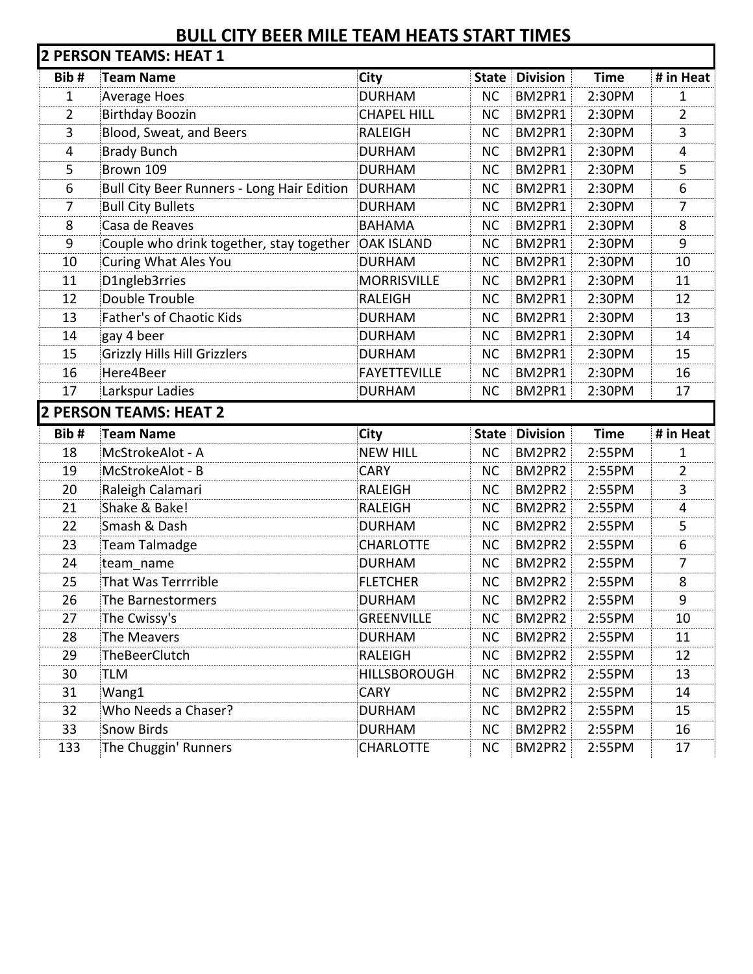## **BULL CITY BEER MILE TEAM HEATS START TIMES**

| Bib#           | <b>Team Name</b>                           | City                | <b>State</b> | <b>Division</b>       | <b>Time</b> | # in Heat      |
|----------------|--------------------------------------------|---------------------|--------------|-----------------------|-------------|----------------|
| 1              | <b>Average Hoes</b>                        | <b>DURHAM</b>       | <b>NC</b>    | BM2PR1                | 2:30PM      | 1              |
| $\overline{2}$ | <b>Birthday Boozin</b>                     | <b>CHAPEL HILL</b>  | <b>NC</b>    | BM2PR1                | 2:30PM      | $\overline{2}$ |
| 3              | Blood, Sweat, and Beers                    | <b>RALEIGH</b>      | <b>NC</b>    | BM2PR1                | 2:30PM      | 3              |
| $\overline{4}$ | <b>Brady Bunch</b>                         | <b>DURHAM</b>       | <b>NC</b>    | BM2PR1                | 2:30PM      | 4              |
| 5              | Brown 109                                  | <b>DURHAM</b>       | <b>NC</b>    | BM2PR1                | 2:30PM      | 5              |
| 6              | Bull City Beer Runners - Long Hair Edition | DURHAM              | <b>NC</b>    | BM2PR1                | 2:30PM      | 6              |
| $\overline{7}$ | <b>Bull City Bullets</b>                   | <b>DURHAM</b>       | <b>NC</b>    | BM2PR1                | 2:30PM      | 7              |
| 8              | Casa de Reaves                             | <b>BAHAMA</b>       | <b>NC</b>    | BM2PR1                | 2:30PM      | 8              |
| 9              | Couple who drink together, stay together   | <b>OAK ISLAND</b>   | <b>NC</b>    | BM2PR1                | 2:30PM      | 9              |
| 10             | Curing What Ales You                       | <b>DURHAM</b>       | <b>NC</b>    | BM2PR1                | 2:30PM      | 10             |
| 11             | D1ngleb3rries                              | <b>MORRISVILLE</b>  | <b>NC</b>    | BM2PR1                | 2:30PM      | 11             |
| 12             | Double Trouble                             | <b>RALEIGH</b>      | <b>NC</b>    | BM2PR1                | 2:30PM      | 12             |
| 13             | Father's of Chaotic Kids                   | <b>DURHAM</b>       | <b>NC</b>    | BM2PR1                | 2:30PM      | 13             |
| 14             | gay 4 beer                                 | <b>DURHAM</b>       | <b>NC</b>    | BM2PR1                | 2:30PM      | 14             |
| 15             | Grizzly Hills Hill Grizzlers               | <b>DURHAM</b>       | <b>NC</b>    | BM2PR1                | 2:30PM      | 15             |
| 16             | Here4Beer                                  | <b>FAYETTEVILLE</b> | <b>NC</b>    | BM2PR1                | 2:30PM      | 16             |
| 17             | Larkspur Ladies                            | <b>DURHAM</b>       | <b>NC</b>    | BM2PR1                | 2:30PM      | 17             |
|                | <b>2 PERSON TEAMS: HEAT 2</b>              |                     |              |                       |             |                |
|                |                                            |                     |              |                       |             |                |
| Bib#           | <b>Team Name</b>                           | City                |              | <b>State Division</b> | <b>Time</b> |                |
| 18             | McStrokeAlot - A                           | <b>NEW HILL</b>     | <b>NC</b>    | BM2PR2                | 2:55PM      | 1              |
| 19             | McStrokeAlot - B                           | <b>CARY</b>         | <b>NC</b>    | BM2PR2                | 2:55PM      | $\overline{2}$ |
| 20             | Raleigh Calamari                           | <b>RALEIGH</b>      | <b>NC</b>    | BM2PR2                | 2:55PM      | 3              |
| 21             | Shake & Bake!                              | <b>RALEIGH</b>      | <b>NC</b>    | BM2PR2                | 2:55PM      | 4              |
| 22             | Smash & Dash                               | <b>DURHAM</b>       | <b>NC</b>    | BM2PR2                | 2:55PM      | # in Heat<br>5 |
| 23             | Team Talmadge                              | <b>CHARLOTTE</b>    | <b>NC</b>    | BM2PR2                | 2:55PM      | 6              |
| 24             | team_name                                  | <b>DURHAM</b>       | <b>NC</b>    | BM2PR2                | 2:55PM      | 7              |
| 25             | That Was Terrrrible                        | <b>FLETCHER</b>     | <b>NC</b>    | BM2PR2                | 2:55PM      | 8              |
| 26             | The Barnestormers                          | <b>DURHAM</b>       | <b>NC</b>    | BM2PR2                | 2:55PM      | 9              |
| 27             | The Cwissy's                               | <b>GREENVILLE</b>   | NC.          | BM2PR2                | 2:55PM      | 10             |
| 28             | The Meavers                                | <b>DURHAM</b>       | <b>NC</b>    | BM2PR2                | 2:55PM      | 11             |
| 29             | TheBeerClutch                              | RALEIGH             | NC.          | BM2PR2                | 2:55PM      | 12             |
| 30             | TLM                                        | <b>HILLSBOROUGH</b> | <b>NC</b>    | BM2PR2                | 2:55PM      | 13             |
| 31             | Wang1                                      | <b>CARY</b>         | <b>NC</b>    | BM2PR2                | 2:55PM      | 14             |
| 32             | Who Needs a Chaser?                        | <b>DURHAM</b>       | <b>NC</b>    | BM2PR2                | 2:55PM      | 15             |
| 33             | <b>Snow Birds</b>                          | <b>DURHAM</b>       | <b>NC</b>    | BM2PR2                | 2:55PM      | 16             |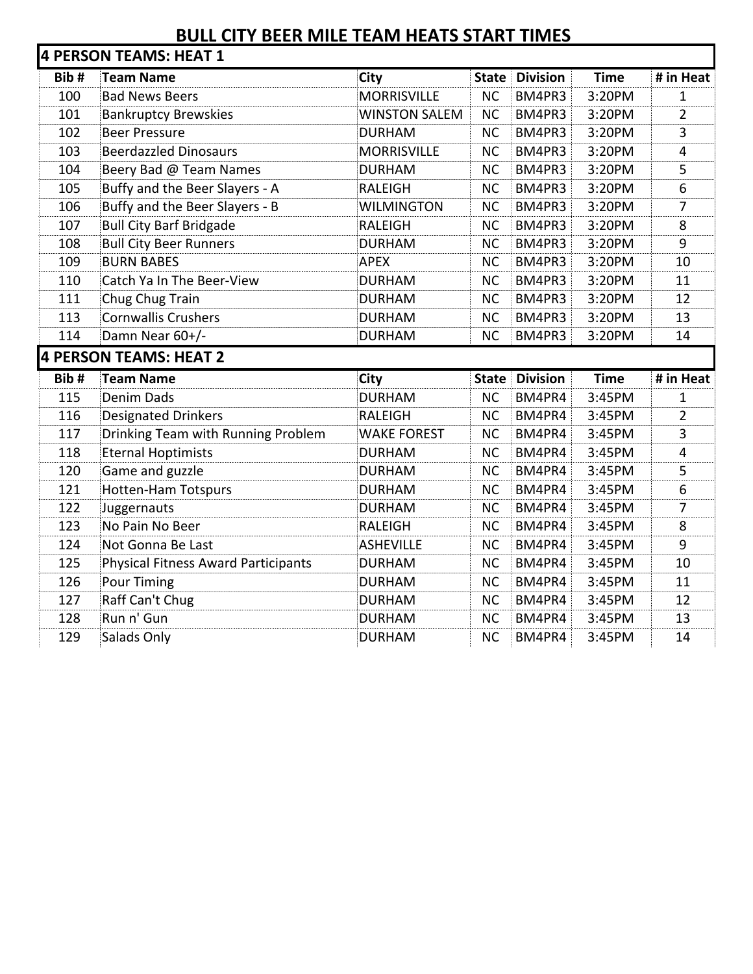## **BULL CITY BEER MILE TEAM HEATS START TIMES**

| Bib# | <b>Team Name</b>                           | <b>City</b>          | <b>State</b> | <b>Division</b> | <b>Time</b> | # in Heat      |
|------|--------------------------------------------|----------------------|--------------|-----------------|-------------|----------------|
| 100  | <b>Bad News Beers</b>                      | <b>MORRISVILLE</b>   | <b>NC</b>    | BM4PR3          | 3:20PM      | 1              |
| 101  | <b>Bankruptcy Brewskies</b>                | <b>WINSTON SALEM</b> | <b>NC</b>    | BM4PR3          | 3:20PM      | 2              |
| 102  | <b>Beer Pressure</b>                       | <b>DURHAM</b>        | <b>NC</b>    | BM4PR3          | 3:20PM      | 3              |
| 103  | <b>Beerdazzled Dinosaurs</b>               | <b>MORRISVILLE</b>   | <b>NC</b>    | BM4PR3          | 3:20PM      | $\overline{4}$ |
| 104  | Beery Bad @ Team Names                     | <b>DURHAM</b>        | <b>NC</b>    | BM4PR3          | 3:20PM      | 5              |
| 105  | Buffy and the Beer Slayers - A             | <b>RALEIGH</b>       | <b>NC</b>    | BM4PR3          | 3:20PM      | 6              |
| 106  | Buffy and the Beer Slayers - B             | <b>WILMINGTON</b>    | <b>NC</b>    | BM4PR3          | 3:20PM      | $\overline{7}$ |
| 107  | <b>Bull City Barf Bridgade</b>             | <b>RALEIGH</b>       | <b>NC</b>    | BM4PR3          | 3:20PM      | 8              |
| 108  | <b>Bull City Beer Runners</b>              | <b>DURHAM</b>        | <b>NC</b>    | BM4PR3          | 3:20PM      | 9              |
| 109  | <b>BURN BABES</b>                          | APEX                 | <b>NC</b>    | BM4PR3          | 3:20PM      | 10             |
| 110  | Catch Ya In The Beer-View                  | <b>DURHAM</b>        | <b>NC</b>    | BM4PR3          | 3:20PM      | 11             |
| 111  | Chug Chug Train                            | <b>DURHAM</b>        | <b>NC</b>    | BM4PR3          | 3:20PM      | 12             |
| 113  | <b>Cornwallis Crushers</b>                 | <b>DURHAM</b>        | <b>NC</b>    | BM4PR3          | 3:20PM      | 13             |
| 114  | Damn Near 60+/-                            | <b>DURHAM</b>        | <b>NC</b>    | BM4PR3          | 3:20PM      | 14             |
|      | <b>4 PERSON TEAMS: HEAT 2</b>              |                      |              |                 |             |                |
| Bib# | <b>Team Name</b>                           | <b>City</b>          | <b>State</b> | <b>Division</b> | <b>Time</b> | # in Heat      |
| 115  | Denim Dads                                 | <b>DURHAM</b>        | <b>NC</b>    | BM4PR4          | 3:45PM      | 1              |
| 116  | <b>Designated Drinkers</b>                 | <b>RALEIGH</b>       | <b>NC</b>    | BM4PR4          |             |                |
|      |                                            |                      |              |                 | 3:45PM      | $\overline{2}$ |
| 117  | Drinking Team with Running Problem         | <b>WAKE FOREST</b>   | <b>NC</b>    | BM4PR4          | 3:45PM      | 3              |
| 118  | <b>Eternal Hoptimists</b>                  | <b>DURHAM</b>        | <b>NC</b>    | BM4PR4          | 3:45PM      | 4              |
| 120  | Game and guzzle                            | <b>DURHAM</b>        | <b>NC</b>    | BM4PR4          | 3:45PM      | 5              |
| 121  | <b>Hotten-Ham Totspurs</b>                 | <b>DURHAM</b>        | <b>NC</b>    | BM4PR4          | 3:45PM      | 6              |
| 122  | Juggernauts                                | <b>DURHAM</b>        | <b>NC</b>    | BM4PR4          | 3:45PM      | 7              |
| 123  | No Pain No Beer                            | <b>RALEIGH</b>       | <b>NC</b>    | BM4PR4          | 3:45PM      | 8              |
| 124  | Not Gonna Be Last                          | ASHEVILLE            | <b>NC</b>    | BM4PR4          | 3:45PM      | 9              |
| 125  | <b>Physical Fitness Award Participants</b> | <b>DURHAM</b>        | <b>NC</b>    | BM4PR4          | 3:45PM      | 10             |
| 126  | Pour Timing                                | <b>DURHAM</b>        | <b>NC</b>    | BM4PR4          | 3:45PM      | 11             |
| 127  | Raff Can't Chug                            | <b>DURHAM</b>        | <b>NC</b>    | BM4PR4          | 3:45PM      | 12             |
| 128  | Run n' Gun                                 | <b>DURHAM</b>        | <b>NC</b>    | BM4PR4          | 3:45PM      | 13             |